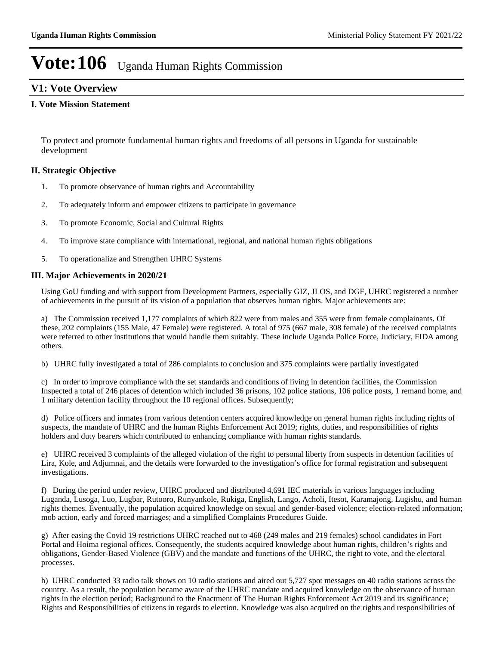### **V1: Vote Overview**

### **I. Vote Mission Statement**

To protect and promote fundamental human rights and freedoms of all persons in Uganda for sustainable development

### **II. Strategic Objective**

- 1. To promote observance of human rights and Accountability
- 2. To adequately inform and empower citizens to participate in governance
- 3. To promote Economic, Social and Cultural Rights
- 4. To improve state compliance with international, regional, and national human rights obligations
- 5. To operationalize and Strengthen UHRC Systems

### **III. Major Achievements in 2020/21**

Using GoU funding and with support from Development Partners, especially GIZ, JLOS, and DGF, UHRC registered a number of achievements in the pursuit of its vision of a population that observes human rights. Major achievements are:

a) The Commission received 1,177 complaints of which 822 were from males and 355 were from female complainants. Of these, 202 complaints (155 Male, 47 Female) were registered. A total of 975 (667 male, 308 female) of the received complaints were referred to other institutions that would handle them suitably. These include Uganda Police Force, Judiciary, FIDA among others.

b) UHRC fully investigated a total of 286 complaints to conclusion and 375 complaints were partially investigated

c) In order to improve compliance with the set standards and conditions of living in detention facilities, the Commission Inspected a total of 246 places of detention which included 36 prisons, 102 police stations, 106 police posts, 1 remand home, and 1 military detention facility throughout the 10 regional offices. Subsequently;

d) Police officers and inmates from various detention centers acquired knowledge on general human rights including rights of suspects, the mandate of UHRC and the human Rights Enforcement Act 2019; rights, duties, and responsibilities of rights holders and duty bearers which contributed to enhancing compliance with human rights standards.

e) UHRC received 3 complaints of the alleged violation of the right to personal liberty from suspects in detention facilities of Lira, Kole, and Adjumnai, and the details were forwarded to the investigation's office for formal registration and subsequent investigations.

f) During the period under review, UHRC produced and distributed 4,691 IEC materials in various languages including Luganda, Lusoga, Luo, Lugbar, Rutooro, Runyankole, Rukiga, English, Lango, Acholi, Itesot, Karamajong, Lugishu, and human rights themes. Eventually, the population acquired knowledge on sexual and gender-based violence; election-related information; mob action, early and forced marriages; and a simplified Complaints Procedures Guide.

g) After easing the Covid 19 restrictions UHRC reached out to 468 (249 males and 219 females) school candidates in Fort Portal and Hoima regional offices. Consequently, the students acquired knowledge about human rights, children's rights and obligations, Gender-Based Violence (GBV) and the mandate and functions of the UHRC, the right to vote, and the electoral processes.

h) UHRC conducted 33 radio talk shows on 10 radio stations and aired out 5,727 spot messages on 40 radio stations across the country. As a result, the population became aware of the UHRC mandate and acquired knowledge on the observance of human rights in the election period; Background to the Enactment of The Human Rights Enforcement Act 2019 and its significance; Rights and Responsibilities of citizens in regards to election. Knowledge was also acquired on the rights and responsibilities of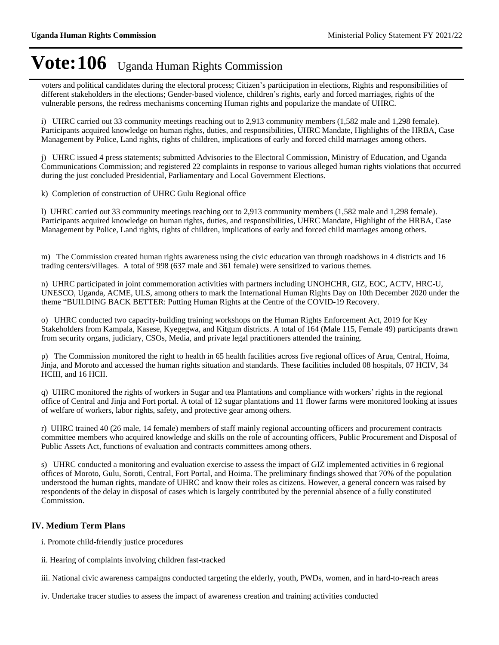voters and political candidates during the electoral process; Citizen's participation in elections, Rights and responsibilities of different stakeholders in the elections; Gender-based violence, children's rights, early and forced marriages, rights of the vulnerable persons, the redress mechanisms concerning Human rights and popularize the mandate of UHRC.

i) UHRC carried out 33 community meetings reaching out to 2,913 community members (1,582 male and 1,298 female). Participants acquired knowledge on human rights, duties, and responsibilities, UHRC Mandate, Highlights of the HRBA, Case Management by Police, Land rights, rights of children, implications of early and forced child marriages among others.

j) UHRC issued 4 press statements; submitted Advisories to the Electoral Commission, Ministry of Education, and Uganda Communications Commission; and registered 22 complaints in response to various alleged human rights violations that occurred during the just concluded Presidential, Parliamentary and Local Government Elections.

k) Completion of construction of UHRC Gulu Regional office

l) UHRC carried out 33 community meetings reaching out to 2,913 community members (1,582 male and 1,298 female). Participants acquired knowledge on human rights, duties, and responsibilities, UHRC Mandate, Highlight of the HRBA, Case Management by Police, Land rights, rights of children, implications of early and forced child marriages among others.

m) The Commission created human rights awareness using the civic education van through roadshows in 4 districts and 16 trading centers/villages. A total of 998 (637 male and 361 female) were sensitized to various themes.

n) UHRC participated in joint commemoration activities with partners including UNOHCHR, GIZ, EOC, ACTV, HRC-U, UNESCO, Uganda, ACME, ULS, among others to mark the International Human Rights Day on 10th December 2020 under the theme "BUILDING BACK BETTER: Putting Human Rights at the Centre of the COVID-19 Recovery.

o) UHRC conducted two capacity-building training workshops on the Human Rights Enforcement Act, 2019 for Key Stakeholders from Kampala, Kasese, Kyegegwa, and Kitgum districts. A total of 164 (Male 115, Female 49) participants drawn from security organs, judiciary, CSOs, Media, and private legal practitioners attended the training.

p) The Commission monitored the right to health in 65 health facilities across five regional offices of Arua, Central, Hoima, Jinja, and Moroto and accessed the human rights situation and standards. These facilities included 08 hospitals, 07 HCIV, 34 HCIII, and 16 HCII.

q) UHRC monitored the rights of workers in Sugar and tea Plantations and compliance with workers' rights in the regional office of Central and Jinja and Fort portal. A total of 12 sugar plantations and 11 flower farms were monitored looking at issues of welfare of workers, labor rights, safety, and protective gear among others.

r) UHRC trained 40 (26 male, 14 female) members of staff mainly regional accounting officers and procurement contracts committee members who acquired knowledge and skills on the role of accounting officers, Public Procurement and Disposal of Public Assets Act, functions of evaluation and contracts committees among others.

s) UHRC conducted a monitoring and evaluation exercise to assess the impact of GIZ implemented activities in 6 regional offices of Moroto, Gulu, Soroti, Central, Fort Portal, and Hoima. The preliminary findings showed that 70% of the population understood the human rights, mandate of UHRC and know their roles as citizens. However, a general concern was raised by respondents of the delay in disposal of cases which is largely contributed by the perennial absence of a fully constituted Commission.

### **IV. Medium Term Plans**

- i. Promote child-friendly justice procedures
- ii. Hearing of complaints involving children fast-tracked

iii. National civic awareness campaigns conducted targeting the elderly, youth, PWDs, women, and in hard-to-reach areas

iv. Undertake tracer studies to assess the impact of awareness creation and training activities conducted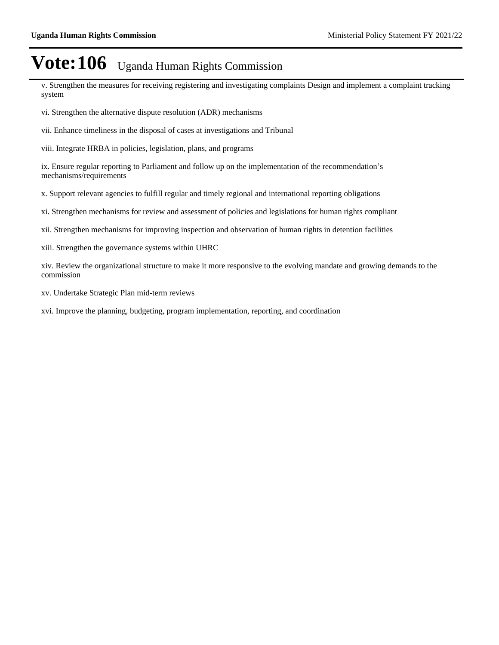v. Strengthen the measures for receiving registering and investigating complaints Design and implement a complaint tracking system

vi. Strengthen the alternative dispute resolution (ADR) mechanisms

vii. Enhance timeliness in the disposal of cases at investigations and Tribunal

viii. Integrate HRBA in policies, legislation, plans, and programs

ix. Ensure regular reporting to Parliament and follow up on the implementation of the recommendation's mechanisms/requirements

x. Support relevant agencies to fulfill regular and timely regional and international reporting obligations

xi. Strengthen mechanisms for review and assessment of policies and legislations for human rights compliant

xii. Strengthen mechanisms for improving inspection and observation of human rights in detention facilities

xiii. Strengthen the governance systems within UHRC

xiv. Review the organizational structure to make it more responsive to the evolving mandate and growing demands to the commission

xv. Undertake Strategic Plan mid-term reviews

xvi. Improve the planning, budgeting, program implementation, reporting, and coordination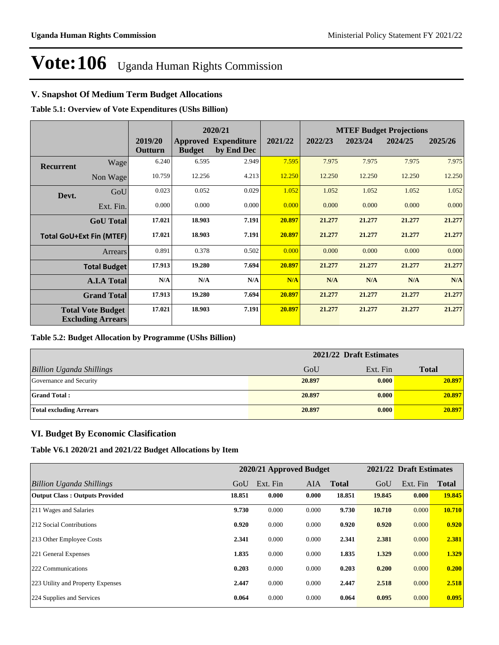### **V. Snapshot Of Medium Term Budget Allocations**

**Table 5.1: Overview of Vote Expenditures (UShs Billion)**

|                  |                                                      |                    |               | 2020/21                                   |         | <b>MTEF Budget Projections</b> |         |         |         |
|------------------|------------------------------------------------------|--------------------|---------------|-------------------------------------------|---------|--------------------------------|---------|---------|---------|
|                  |                                                      | 2019/20<br>Outturn | <b>Budget</b> | <b>Approved Expenditure</b><br>by End Dec | 2021/22 | 2022/23                        | 2023/24 | 2024/25 | 2025/26 |
| <b>Recurrent</b> | Wage                                                 | 6.240              | 6.595         | 2.949                                     | 7.595   | 7.975                          | 7.975   | 7.975   | 7.975   |
|                  | Non Wage                                             | 10.759             | 12.256        | 4.213                                     | 12.250  | 12.250                         | 12.250  | 12.250  | 12.250  |
| Devt.            | GoU                                                  | 0.023              | 0.052         | 0.029                                     | 1.052   | 1.052                          | 1.052   | 1.052   | 1.052   |
|                  | Ext. Fin.                                            | 0.000              | 0.000         | 0.000                                     | 0.000   | 0.000                          | 0.000   | 0.000   | 0.000   |
|                  | <b>GoU</b> Total                                     | 17.021             | 18.903        | 7.191                                     | 20.897  | 21.277                         | 21.277  | 21.277  | 21.277  |
|                  | <b>Total GoU+Ext Fin (MTEF)</b>                      | 17.021             | 18.903        | 7.191                                     | 20.897  | 21,277                         | 21.277  | 21.277  | 21.277  |
|                  | Arrears                                              | 0.891              | 0.378         | 0.502                                     | 0.000   | 0.000                          | 0.000   | 0.000   | 0.000   |
|                  | <b>Total Budget</b>                                  | 17.913             | 19.280        | 7.694                                     | 20.897  | 21,277                         | 21.277  | 21,277  | 21.277  |
|                  | <b>A.I.A Total</b>                                   | N/A                | N/A           | N/A                                       | N/A     | N/A                            | N/A     | N/A     | N/A     |
|                  | <b>Grand Total</b>                                   | 17.913             | 19.280        | 7.694                                     | 20.897  | 21.277                         | 21.277  | 21.277  | 21.277  |
|                  | <b>Total Vote Budget</b><br><b>Excluding Arrears</b> | 17.021             | 18.903        | 7.191                                     | 20.897  | 21.277                         | 21.277  | 21.277  | 21.277  |

#### **Table 5.2: Budget Allocation by Programme (UShs Billion)**

|                                 | 2021/22 Draft Estimates |          |              |
|---------------------------------|-------------------------|----------|--------------|
| <b>Billion Uganda Shillings</b> | GoU                     | Ext. Fin | <b>Total</b> |
| Governance and Security         | 20.897                  | 0.000    | 20.897       |
| <b>Grand Total:</b>             | 20.897                  | 0.000    | 20.897       |
| <b>Total excluding Arrears</b>  | 20.897                  | 0.000    | 20.897       |

### **VI. Budget By Economic Clasification**

**Table V6.1 2020/21 and 2021/22 Budget Allocations by Item**

|                                       |        | 2020/21 Approved Budget |            |              |        | 2021/22 Draft Estimates |              |
|---------------------------------------|--------|-------------------------|------------|--------------|--------|-------------------------|--------------|
| Billion Uganda Shillings              | GoU    | Ext. Fin                | <b>AIA</b> | <b>Total</b> | GoU    | Ext. Fin                | <b>Total</b> |
| <b>Output Class: Outputs Provided</b> | 18.851 | 0.000                   | 0.000      | 18.851       | 19.845 | 0.000                   | 19.845       |
| 211 Wages and Salaries                | 9.730  | 0.000                   | 0.000      | 9.730        | 10.710 | 0.000                   | 10.710       |
| 212 Social Contributions              | 0.920  | 0.000                   | 0.000      | 0.920        | 0.920  | 0.000                   | 0.920        |
| 213 Other Employee Costs              | 2.341  | 0.000                   | 0.000      | 2.341        | 2.381  | 0.000                   | 2.381        |
| 221 General Expenses                  | 1.835  | 0.000                   | 0.000      | 1.835        | 1.329  | 0.000                   | 1.329        |
| 222 Communications                    | 0.203  | 0.000                   | 0.000      | 0.203        | 0.200  | 0.000                   | 0.200        |
| 223 Utility and Property Expenses     | 2.447  | 0.000                   | 0.000      | 2.447        | 2.518  | 0.000                   | 2.518        |
| 224 Supplies and Services             | 0.064  | 0.000                   | 0.000      | 0.064        | 0.095  | 0.000                   | 0.095        |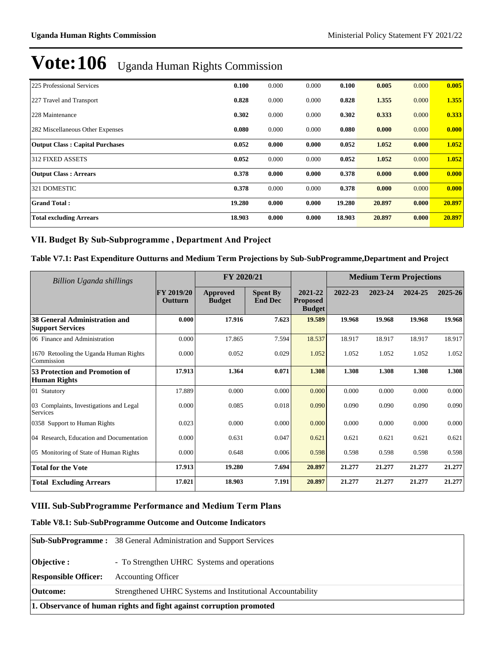| 225 Professional Services              | 0.100  | 0.000 | 0.000 | 0.100  | 0.005  | 0.000 | 0.005  |
|----------------------------------------|--------|-------|-------|--------|--------|-------|--------|
| 227 Travel and Transport               | 0.828  | 0.000 | 0.000 | 0.828  | 1.355  | 0.000 | 1.355  |
| 228 Maintenance                        | 0.302  | 0.000 | 0.000 | 0.302  | 0.333  | 0.000 | 0.333  |
| 282 Miscellaneous Other Expenses       | 0.080  | 0.000 | 0.000 | 0.080  | 0.000  | 0.000 | 0.000  |
| <b>Output Class: Capital Purchases</b> | 0.052  | 0.000 | 0.000 | 0.052  | 1.052  | 0.000 | 1.052  |
| 312 FIXED ASSETS                       | 0.052  | 0.000 | 0.000 | 0.052  | 1.052  | 0.000 | 1.052  |
| <b>Output Class: Arrears</b>           | 0.378  | 0.000 | 0.000 | 0.378  | 0.000  | 0.000 | 0.000  |
| 321 DOMESTIC                           | 0.378  | 0.000 | 0.000 | 0.378  | 0.000  | 0.000 | 0.000  |
| <b>Grand Total:</b>                    | 19.280 | 0.000 | 0.000 | 19.280 | 20.897 | 0.000 | 20.897 |
| <b>Total excluding Arrears</b>         | 18.903 | 0.000 | 0.000 | 18.903 | 20.897 | 0.000 | 20.897 |

### VII. Budget By Sub-Subprogramme, Department And Project

#### **Table V7.1: Past Expenditure Outturns and Medium Term Projections by Sub-SubProgramme,Department and Project**

| Billion Uganda shillings                                        |                       | FY 2020/21                       |                                   |                                             | <b>Medium Term Projections</b> |         |         |         |
|-----------------------------------------------------------------|-----------------------|----------------------------------|-----------------------------------|---------------------------------------------|--------------------------------|---------|---------|---------|
|                                                                 | FY 2019/20<br>Outturn | <b>Approved</b><br><b>Budget</b> | <b>Spent By</b><br><b>End Dec</b> | 2021-22<br><b>Proposed</b><br><b>Budget</b> | 2022-23                        | 2023-24 | 2024-25 | 2025-26 |
| <b>38 General Administration and</b><br><b>Support Services</b> | 0.000                 | 17.916                           | 7.623                             | 19.589                                      | 19.968                         | 19.968  | 19.968  | 19.968  |
| 06 Finance and Administration                                   | 0.000                 | 17.865                           | 7.594                             | 18.537                                      | 18.917                         | 18.917  | 18.917  | 18.917  |
| 1670 Retooling the Uganda Human Rights<br>Commission            | 0.000                 | 0.052                            | 0.029                             | 1.052                                       | 1.052                          | 1.052   | 1.052   | 1.052   |
| 53 Protection and Promotion of<br><b>Human Rights</b>           | 17.913                | 1.364                            | 0.071                             | 1.308                                       | 1.308                          | 1.308   | 1.308   | 1.308   |
| 01 Statutory                                                    | 17.889                | 0.000                            | 0.000                             | 0.000                                       | 0.000                          | 0.000   | 0.000   | 0.000   |
| 03 Complaints, Investigations and Legal<br>Services             | 0.000                 | 0.085                            | 0.018                             | 0.090                                       | 0.090                          | 0.090   | 0.090   | 0.090   |
| 0358 Support to Human Rights                                    | 0.023                 | 0.000                            | 0.000                             | 0.000                                       | 0.000                          | 0.000   | 0.000   | 0.000   |
| 04 Research, Education and Documentation                        | 0.000                 | 0.631                            | 0.047                             | 0.621                                       | 0.621                          | 0.621   | 0.621   | 0.621   |
| 05 Monitoring of State of Human Rights                          | 0.000                 | 0.648                            | 0.006                             | 0.598                                       | 0.598                          | 0.598   | 0.598   | 0.598   |
| <b>Total for the Vote</b>                                       | 17.913                | 19.280                           | 7.694                             | 20.897                                      | 21.277                         | 21.277  | 21.277  | 21.277  |
| <b>Total Excluding Arrears</b>                                  | 17.021                | 18.903                           | 7.191                             | 20.897                                      | 21,277                         | 21,277  | 21,277  | 21,277  |

### **VIII. Sub-SubProgramme Performance and Medium Term Plans**

### **Table V8.1: Sub-SubProgramme Outcome and Outcome Indicators**

|                                                                     | <b>Sub-SubProgramme:</b> 38 General Administration and Support Services |  |  |
|---------------------------------------------------------------------|-------------------------------------------------------------------------|--|--|
| Objective:                                                          | - To Strengthen UHRC Systems and operations                             |  |  |
| <b>Responsible Officer:</b>                                         | <b>Accounting Officer</b>                                               |  |  |
| <b>Outcome:</b>                                                     | Strengthened UHRC Systems and Institutional Accountability              |  |  |
| 1. Observance of human rights and fight against corruption promoted |                                                                         |  |  |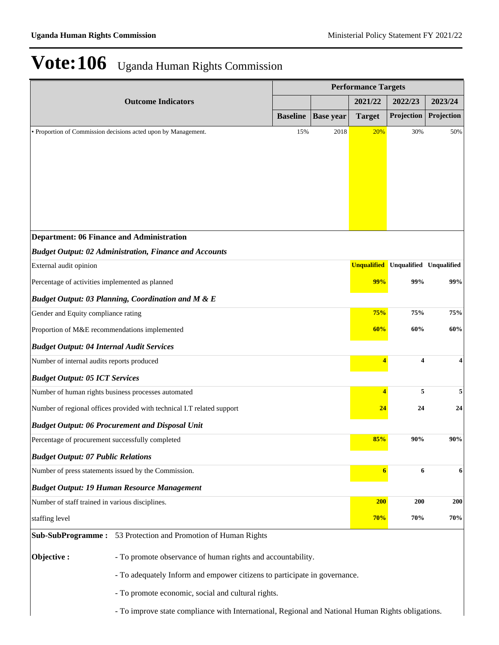|                                                                                                                   | <b>Performance Targets</b> |                  |               |                                            |            |
|-------------------------------------------------------------------------------------------------------------------|----------------------------|------------------|---------------|--------------------------------------------|------------|
| <b>Outcome Indicators</b>                                                                                         |                            |                  | 2021/22       | 2022/23                                    | 2023/24    |
|                                                                                                                   | <b>Baseline</b>            | <b>Base year</b> | <b>Target</b> | Projection                                 | Projection |
| • Proportion of Commission decisions acted upon by Management.                                                    | 15%                        | 2018             | 20%           | 30%                                        | 50%        |
|                                                                                                                   |                            |                  |               |                                            |            |
|                                                                                                                   |                            |                  |               |                                            |            |
|                                                                                                                   |                            |                  |               |                                            |            |
|                                                                                                                   |                            |                  |               |                                            |            |
|                                                                                                                   |                            |                  |               |                                            |            |
|                                                                                                                   |                            |                  |               |                                            |            |
| <b>Department: 06 Finance and Administration</b><br><b>Budget Output: 02 Administration, Finance and Accounts</b> |                            |                  |               |                                            |            |
| External audit opinion                                                                                            |                            |                  |               | <b>Unqualified</b> Unqualified Unqualified |            |
| Percentage of activities implemented as planned                                                                   |                            |                  | 99%           | 99%                                        | 99%        |
| <b>Budget Output: 03 Planning, Coordination and M &amp; E</b>                                                     |                            |                  |               |                                            |            |
| Gender and Equity compliance rating                                                                               |                            |                  | 75%           | 75%                                        | 75%        |
| Proportion of M&E recommendations implemented                                                                     |                            |                  | 60%           | 60%                                        | 60%        |
| <b>Budget Output: 04 Internal Audit Services</b>                                                                  |                            |                  |               |                                            |            |
| Number of internal audits reports produced                                                                        |                            |                  | 4             | 4                                          | 4          |
| <b>Budget Output: 05 ICT Services</b>                                                                             |                            |                  |               |                                            |            |
| Number of human rights business processes automated                                                               |                            |                  | 4             | 5                                          | 5          |
| Number of regional offices provided with technical I.T related support                                            |                            |                  | 24            | 24                                         | 24         |
| <b>Budget Output: 06 Procurement and Disposal Unit</b>                                                            |                            |                  |               |                                            |            |
| Percentage of procurement successfully completed                                                                  |                            |                  | 85%           | 90%                                        | 90%        |
| <b>Budget Output: 07 Public Relations</b>                                                                         |                            |                  |               |                                            |            |
| Number of press statements issued by the Commission.                                                              |                            |                  | 6             | 6                                          | 6          |
| <b>Budget Output: 19 Human Resource Management</b>                                                                |                            |                  |               |                                            |            |
| Number of staff trained in various disciplines.                                                                   |                            |                  | <b>200</b>    | 200                                        | <b>200</b> |
| staffing level                                                                                                    |                            |                  | 70%           | 70%                                        | 70%        |
| Sub-SubProgramme: 53 Protection and Promotion of Human Rights                                                     |                            |                  |               |                                            |            |
|                                                                                                                   |                            |                  |               |                                            |            |
| Objective:<br>- To promote observance of human rights and accountability.                                         |                            |                  |               |                                            |            |
| - To adequately Inform and empower citizens to participate in governance.                                         |                            |                  |               |                                            |            |
| - To promote economic, social and cultural rights.                                                                |                            |                  |               |                                            |            |
| - To improve state compliance with International, Regional and National Human Rights obligations.                 |                            |                  |               |                                            |            |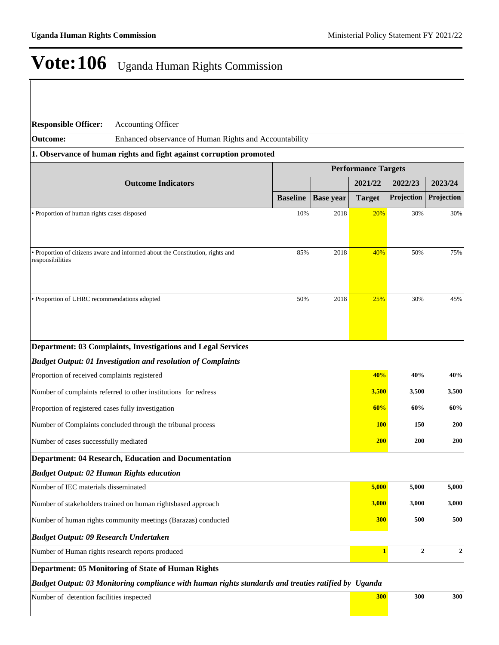| <b>Responsible Officer:</b>                                   | <b>Accounting Officer</b>                                                                           |                 |                  |                            |                   |                |
|---------------------------------------------------------------|-----------------------------------------------------------------------------------------------------|-----------------|------------------|----------------------------|-------------------|----------------|
| <b>Outcome:</b>                                               | Enhanced observance of Human Rights and Accountability                                              |                 |                  |                            |                   |                |
|                                                               | 1. Observance of human rights and fight against corruption promoted                                 |                 |                  |                            |                   |                |
|                                                               |                                                                                                     |                 |                  | <b>Performance Targets</b> |                   |                |
|                                                               | <b>Outcome Indicators</b>                                                                           |                 |                  | 2021/22                    | 2022/23           | 2023/24        |
|                                                               |                                                                                                     | <b>Baseline</b> | <b>Base year</b> | <b>Target</b>              | Projection        | Projection     |
| • Proportion of human rights cases disposed                   |                                                                                                     | 10%             | 2018             | 20%                        | 30%               | 30%            |
|                                                               |                                                                                                     |                 |                  |                            |                   |                |
|                                                               | • Proportion of citizens aware and informed about the Constitution, rights and                      | 85%             | 2018             | 40%                        | 50%               | 75%            |
| responsibilities                                              |                                                                                                     |                 |                  |                            |                   |                |
|                                                               |                                                                                                     |                 |                  |                            |                   |                |
| • Proportion of UHRC recommendations adopted                  |                                                                                                     | 50%             | 2018             | 25%                        | 30%               | 45%            |
|                                                               |                                                                                                     |                 |                  |                            |                   |                |
|                                                               |                                                                                                     |                 |                  |                            |                   |                |
|                                                               | Department: 03 Complaints, Investigations and Legal Services                                        |                 |                  |                            |                   |                |
|                                                               | <b>Budget Output: 01 Investigation and resolution of Complaints</b>                                 |                 |                  |                            |                   |                |
| Proportion of received complaints registered                  |                                                                                                     |                 |                  | 40%                        | 40%               | 40%            |
|                                                               | Number of complaints referred to other institutions for redress                                     |                 |                  | 3,500                      | 3,500             | 3,500          |
| Proportion of registered cases fully investigation            |                                                                                                     |                 |                  | 60%                        | 60%               | 60%            |
| Number of Complaints concluded through the tribunal process   |                                                                                                     |                 |                  |                            | <b>100</b><br>150 | 200            |
| Number of cases successfully mediated                         |                                                                                                     |                 |                  | <b>200</b>                 | 200               | 200            |
|                                                               | <b>Department: 04 Research, Education and Documentation</b>                                         |                 |                  |                            |                   |                |
| <b>Budget Output: 02 Human Rights education</b>               |                                                                                                     |                 |                  |                            |                   |                |
| Number of IEC materials disseminated                          |                                                                                                     |                 |                  | 5,000                      | 5,000             | 5,000          |
|                                                               | Number of stakeholders trained on human rightsbased approach                                        |                 |                  | 3,000                      | 3,000             | 3,000          |
| Number of human rights community meetings (Barazas) conducted |                                                                                                     |                 |                  | 300                        | 500               | 500            |
|                                                               |                                                                                                     |                 |                  |                            |                   |                |
| <b>Budget Output: 09 Research Undertaken</b>                  |                                                                                                     |                 |                  |                            |                   |                |
|                                                               | Number of Human rights research reports produced                                                    |                 |                  | $\mathbf{1}$               | $\boldsymbol{2}$  | $\overline{2}$ |
|                                                               | Department: 05 Monitoring of State of Human Rights                                                  |                 |                  |                            |                   |                |
|                                                               | Budget Output: 03 Monitoring compliance with human rights standards and treaties ratified by Uganda |                 |                  |                            |                   |                |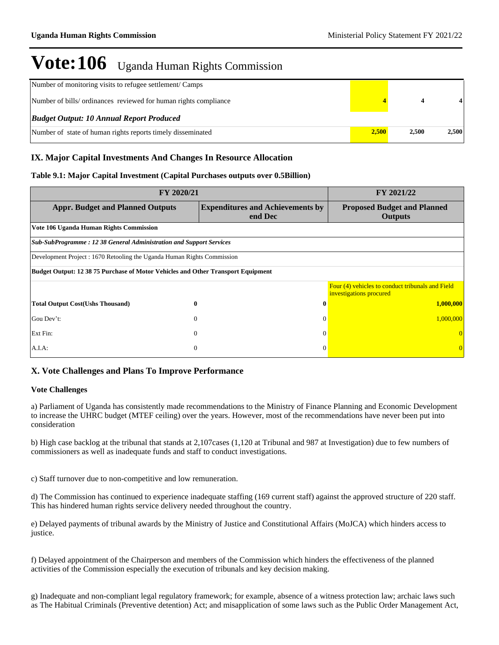| Number of monitoring visits to refugee settlement/ Camps         |       |       |       |
|------------------------------------------------------------------|-------|-------|-------|
| Number of bills/ ordinances reviewed for human rights compliance |       |       |       |
| <b>Budget Output: 10 Annual Report Produced</b>                  |       |       |       |
| Number of state of human rights reports timely disseminated      | 2.500 | 2.500 | 2.500 |

### **IX. Major Capital Investments And Changes In Resource Allocation**

### **Table 9.1: Major Capital Investment (Capital Purchases outputs over 0.5Billion)**

| FY 2020/21                                                                              | FY 2021/22                                         |                                                                             |  |  |  |  |
|-----------------------------------------------------------------------------------------|----------------------------------------------------|-----------------------------------------------------------------------------|--|--|--|--|
| <b>Appr. Budget and Planned Outputs</b>                                                 | <b>Expenditures and Achievements by</b><br>end Dec | <b>Proposed Budget and Planned</b><br><b>Outputs</b>                        |  |  |  |  |
| Vote 106 Uganda Human Rights Commission                                                 |                                                    |                                                                             |  |  |  |  |
| Sub-SubProgramme: 12 38 General Administration and Support Services                     |                                                    |                                                                             |  |  |  |  |
| Development Project : 1670 Retooling the Uganda Human Rights Commission                 |                                                    |                                                                             |  |  |  |  |
| <b>Budget Output: 12 38 75 Purchase of Motor Vehicles and Other Transport Equipment</b> |                                                    |                                                                             |  |  |  |  |
|                                                                                         |                                                    | Four (4) vehicles to conduct tribunals and Field<br>investigations procured |  |  |  |  |
| <b>Total Output Cost(Ushs Thousand)</b><br>$\bf{0}$                                     | $\mathbf{0}$                                       | 1,000,000                                                                   |  |  |  |  |
| Gou Dev't:<br>$\overline{0}$                                                            | $\theta$                                           | 1,000,000                                                                   |  |  |  |  |
| Ext Fin:<br>$\theta$                                                                    | $\Omega$                                           |                                                                             |  |  |  |  |
| $\overline{0}$<br>$A.I.A$ :                                                             | $\Omega$                                           |                                                                             |  |  |  |  |

### **X. Vote Challenges and Plans To Improve Performance**

#### **Vote Challenges**

a) Parliament of Uganda has consistently made recommendations to the Ministry of Finance Planning and Economic Development to increase the UHRC budget (MTEF ceiling) over the years. However, most of the recommendations have never been put into consideration

b) High case backlog at the tribunal that stands at 2,107cases (1,120 at Tribunal and 987 at Investigation) due to few numbers of commissioners as well as inadequate funds and staff to conduct investigations.

c) Staff turnover due to non-competitive and low remuneration.

d) The Commission has continued to experience inadequate staffing (169 current staff) against the approved structure of 220 staff. This has hindered human rights service delivery needed throughout the country.

e) Delayed payments of tribunal awards by the Ministry of Justice and Constitutional Affairs (MoJCA) which hinders access to justice.

f) Delayed appointment of the Chairperson and members of the Commission which hinders the effectiveness of the planned activities of the Commission especially the execution of tribunals and key decision making.

g) Inadequate and non-compliant legal regulatory framework; for example, absence of a witness protection law; archaic laws such as The Habitual Criminals (Preventive detention) Act; and misapplication of some laws such as the Public Order Management Act,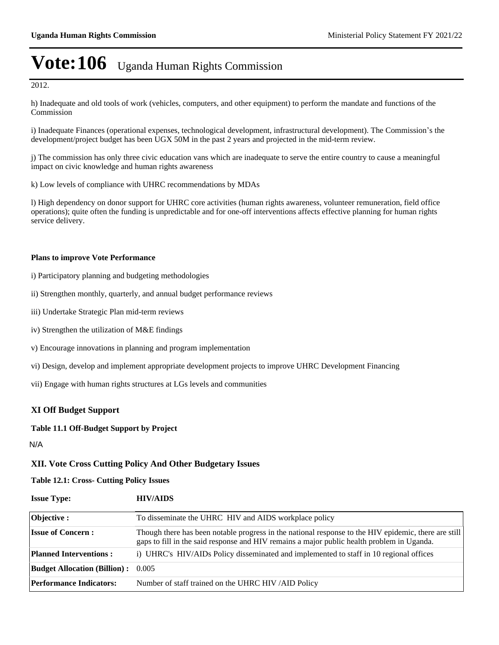2012.

h) Inadequate and old tools of work (vehicles, computers, and other equipment) to perform the mandate and functions of the Commission

i) Inadequate Finances (operational expenses, technological development, infrastructural development). The Commission's the development/project budget has been UGX 50M in the past 2 years and projected in the mid-term review.

j) The commission has only three civic education vans which are inadequate to serve the entire country to cause a meaningful impact on civic knowledge and human rights awareness

k) Low levels of compliance with UHRC recommendations by MDAs

l) High dependency on donor support for UHRC core activities (human rights awareness, volunteer remuneration, field office operations); quite often the funding is unpredictable and for one-off interventions affects effective planning for human rights service delivery.

#### **Plans to improve Vote Performance**

- i) Participatory planning and budgeting methodologies
- ii) Strengthen monthly, quarterly, and annual budget performance reviews
- iii) Undertake Strategic Plan mid-term reviews
- iv) Strengthen the utilization of M&E findings
- v) Encourage innovations in planning and program implementation
- vi) Design, develop and implement appropriate development projects to improve UHRC Development Financing
- vii) Engage with human rights structures at LGs levels and communities

### **XI Off Budget Support**

#### **Table 11.1 Off-Budget Support by Project**

N/A

#### **XII. Vote Cross Cutting Policy And Other Budgetary Issues**

**Table 12.1: Cross- Cutting Policy Issues**

| <b>Issue Type:</b>                        | <b>HIV/AIDS</b>                                                                                                                                                                                    |
|-------------------------------------------|----------------------------------------------------------------------------------------------------------------------------------------------------------------------------------------------------|
| Objective :                               | To disseminate the UHRC HIV and AIDS workplace policy                                                                                                                                              |
| <b>Issue of Concern:</b>                  | Though there has been notable progress in the national response to the HIV epidemic, there are still<br>gaps to fill in the said response and HIV remains a major public health problem in Uganda. |
| <b>Planned Interventions:</b>             | i) UHRC's HIV/AIDs Policy disseminated and implemented to staff in 10 regional offices                                                                                                             |
| <b>Budget Allocation (Billion):</b> 0.005 |                                                                                                                                                                                                    |
| <b>Performance Indicators:</b>            | Number of staff trained on the UHRC HIV/AID Policy                                                                                                                                                 |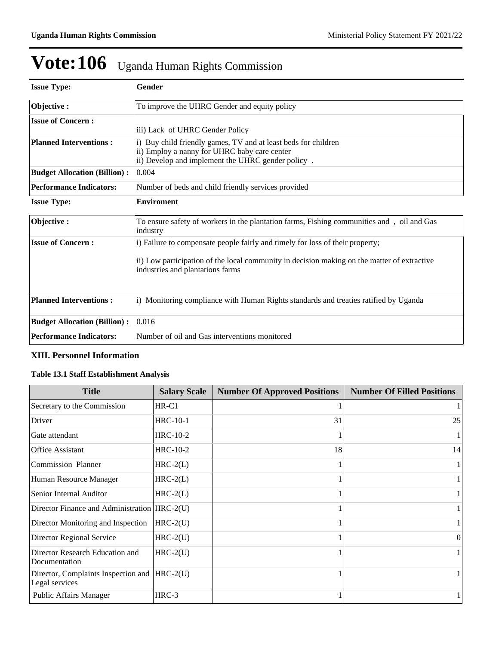| <b>Issue Type:</b>                  | Gender                                                                                                                                                                                                           |
|-------------------------------------|------------------------------------------------------------------------------------------------------------------------------------------------------------------------------------------------------------------|
| Objective:                          | To improve the UHRC Gender and equity policy                                                                                                                                                                     |
| <b>Issue of Concern:</b>            | iii) Lack of UHRC Gender Policy                                                                                                                                                                                  |
| <b>Planned Interventions:</b>       | i) Buy child friendly games, TV and at least beds for children<br>ii) Employ a nanny for UHRC baby care center<br>ii) Develop and implement the UHRC gender policy.                                              |
| <b>Budget Allocation (Billion):</b> | 0.004                                                                                                                                                                                                            |
| <b>Performance Indicators:</b>      | Number of beds and child friendly services provided                                                                                                                                                              |
| <b>Issue Type:</b>                  | <b>Enviroment</b>                                                                                                                                                                                                |
| Objective:                          | To ensure safety of workers in the plantation farms, Fishing communities and, oil and Gas<br>industry                                                                                                            |
| <b>Issue of Concern:</b>            | i) Failure to compensate people fairly and timely for loss of their property;<br>ii) Low participation of the local community in decision making on the matter of extractive<br>industries and plantations farms |
| <b>Planned Interventions:</b>       | i) Monitoring compliance with Human Rights standards and treaties ratified by Uganda                                                                                                                             |
| <b>Budget Allocation (Billion):</b> | 0.016                                                                                                                                                                                                            |
| <b>Performance Indicators:</b>      | Number of oil and Gas interventions monitored                                                                                                                                                                    |

### **XIII. Personnel Information**

### **Table 13.1 Staff Establishment Analysis**

| <b>Title</b>                                                    | <b>Salary Scale</b> | <b>Number Of Approved Positions</b> | <b>Number Of Filled Positions</b> |
|-----------------------------------------------------------------|---------------------|-------------------------------------|-----------------------------------|
| Secretary to the Commission                                     | $HR-C1$             |                                     |                                   |
| Driver                                                          | $HRC-10-1$          | 31                                  | 25                                |
| Gate attendant                                                  | <b>HRC-10-2</b>     |                                     |                                   |
| <b>Office Assistant</b>                                         | $HRC-10-2$          | 18                                  | 14                                |
| <b>Commission Planner</b>                                       | $HRC-2(L)$          |                                     |                                   |
| Human Resource Manager                                          | $HRC-2(L)$          |                                     |                                   |
| Senior Internal Auditor                                         | $HRC-2(L)$          |                                     |                                   |
| Director Finance and Administration HRC-2(U)                    |                     |                                     |                                   |
| Director Monitoring and Inspection                              | $HRC-2(U)$          |                                     |                                   |
| Director Regional Service                                       | $HRC-2(U)$          |                                     | $\Omega$                          |
| Director Research Education and<br>Documentation                | $HRC-2(U)$          |                                     |                                   |
| Director, Complaints Inspection and  HRC-2(U)<br>Legal services |                     |                                     |                                   |
| Public Affairs Manager                                          | $HRC-3$             |                                     |                                   |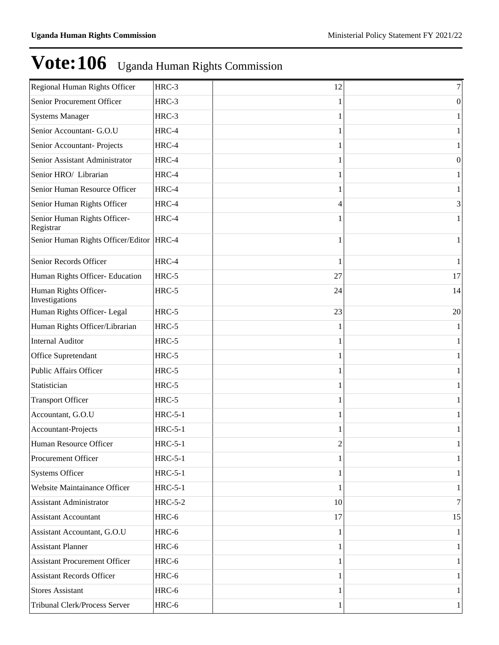| Regional Human Rights Officer              | HRC-3          | 12 | 7  |
|--------------------------------------------|----------------|----|----|
| Senior Procurement Officer                 | HRC-3          |    | 0  |
| <b>Systems Manager</b>                     | HRC-3          |    |    |
| Senior Accountant- G.O.U                   | HRC-4          |    |    |
| Senior Accountant-Projects                 | HRC-4          |    |    |
| Senior Assistant Administrator             | HRC-4          |    | 0  |
| Senior HRO/ Librarian                      | HRC-4          |    |    |
| Senior Human Resource Officer              | HRC-4          |    |    |
| Senior Human Rights Officer                | HRC-4          | 4  | 3  |
| Senior Human Rights Officer-<br>Registrar  | HRC-4          |    |    |
| Senior Human Rights Officer/Editor   HRC-4 |                |    |    |
| Senior Records Officer                     | HRC-4          |    |    |
| Human Rights Officer- Education            | HRC-5          | 27 | 17 |
| Human Rights Officer-<br>Investigations    | HRC-5          | 24 | 14 |
| Human Rights Officer- Legal                | $HRC-5$        | 23 | 20 |
| Human Rights Officer/Librarian             | HRC-5          |    |    |
| <b>Internal Auditor</b>                    | HRC-5          |    |    |
| Office Supretendant                        | $HRC-5$        |    |    |
| <b>Public Affairs Officer</b>              | HRC-5          |    |    |
| Statistician                               | HRC-5          |    |    |
| <b>Transport Officer</b>                   | $HRC-5$        |    |    |
| Accountant, G.O.U                          | <b>HRC-5-1</b> |    |    |
| Accountant-Projects                        | <b>HRC-5-1</b> |    |    |
| Human Resource Officer                     | <b>HRC-5-1</b> | 2  |    |
| <b>Procurement Officer</b>                 | <b>HRC-5-1</b> |    |    |
| <b>Systems Officer</b>                     | $HRC-5-1$      |    |    |
| Website Maintainance Officer               | $HRC-5-1$      |    |    |
| <b>Assistant Administrator</b>             | $HRC-5-2$      | 10 |    |
| <b>Assistant Accountant</b>                | HRC-6          | 17 | 15 |
| Assistant Accountant, G.O.U                | HRC-6          |    |    |
| <b>Assistant Planner</b>                   | HRC-6          |    |    |
| <b>Assistant Procurement Officer</b>       | HRC-6          |    |    |
| <b>Assistant Records Officer</b>           | HRC-6          |    |    |
| <b>Stores Assistant</b>                    | HRC-6          |    |    |
| Tribunal Clerk/Process Server              | HRC-6          |    |    |